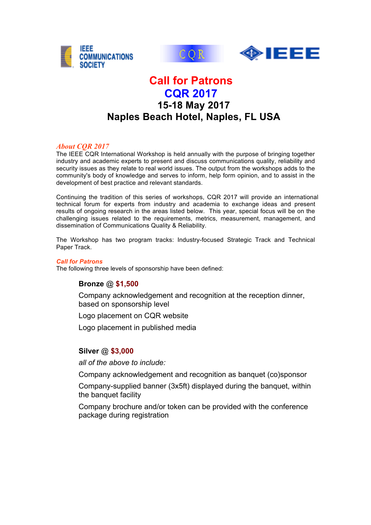





# **Call for Patrons CQR 2017 15-18 May 2017 Naples Beach Hotel, Naples, FL USA**

### *About CQR 2017*

The IEEE CQR International Workshop is held annually with the purpose of bringing together industry and academic experts to present and discuss communications quality, reliability and security issues as they relate to real world issues. The output from the workshops adds to the community's body of knowledge and serves to inform, help form opinion, and to assist in the development of best practice and relevant standards.

Continuing the tradition of this series of workshops, CQR 2017 will provide an international technical forum for experts from industry and academia to exchange ideas and present results of ongoing research in the areas listed below. This year, special focus will be on the challenging issues related to the requirements, metrics, measurement, management, and dissemination of Communications Quality & Reliability.

The Workshop has two program tracks: Industry-focused Strategic Track and Technical Paper Track.

#### *Call for Patrons*

The following three levels of sponsorship have been defined:

## **Bronze** @ **\$1,500**

Company acknowledgement and recognition at the reception dinner, based on sponsorship level

Logo placement on CQR website

Logo placement in published media

#### **Silver** @ **\$3,000**

*all of the above to include:*

Company acknowledgement and recognition as banquet (co)sponsor

Company-supplied banner (3x5ft) displayed during the banquet, within the banquet facility

Company brochure and/or token can be provided with the conference package during registration